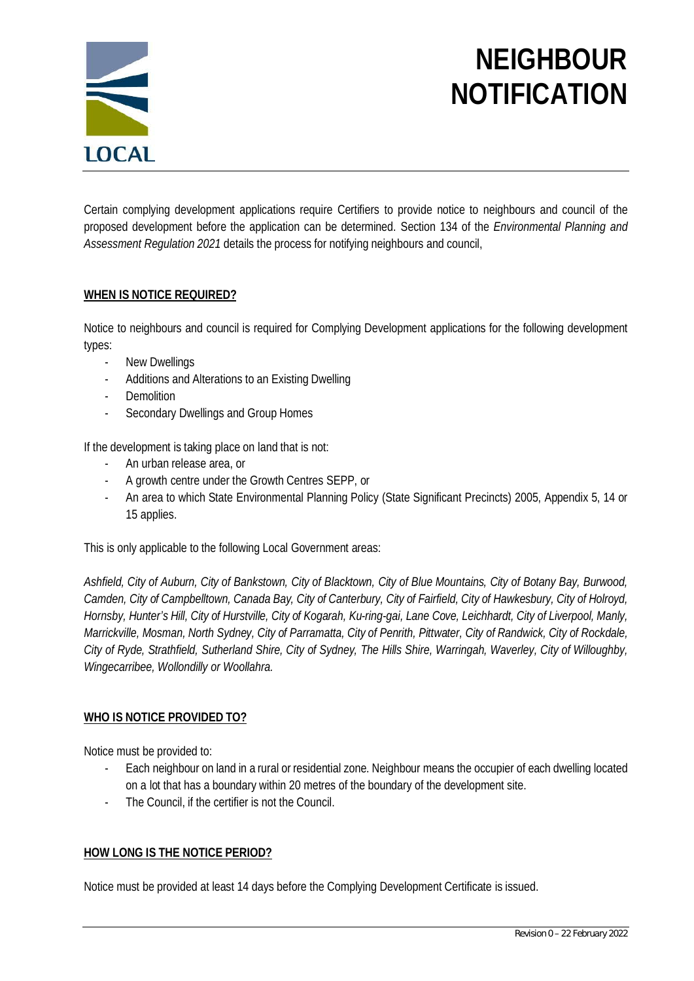

# **NEIGHBOUR NOTIFICATION**

Certain complying development applications require Certifiers to provide notice to neighbours and council of the proposed development before the application can be determined. Section 134 of the *Environmental Planning and Assessment Regulation 2021* details the process for notifying neighbours and council,

### **WHEN IS NOTICE REQUIRED?**

Notice to neighbours and council is required for Complying Development applications for the following development types:

- New Dwellings
- Additions and Alterations to an Existing Dwelling
- Demolition
- Secondary Dwellings and Group Homes

If the development is taking place on land that is not:

- An urban release area, or
- A growth centre under the Growth Centres SEPP, or
- An area to which State Environmental Planning Policy (State Significant Precincts) 2005, Appendix 5, 14 or 15 applies.

This is only applicable to the following Local Government areas:

*Ashfield, City of Auburn, City of Bankstown, City of Blacktown, City of Blue Mountains, City of Botany Bay, Burwood, Camden, City of Campbelltown, Canada Bay, City of Canterbury, City of Fairfield, City of Hawkesbury, City of Holroyd, Hornsby, Hunter's Hill, City of Hurstville, City of Kogarah, Ku-ring-gai, Lane Cove, Leichhardt, City of Liverpool, Manly, Marrickville, Mosman, North Sydney, City of Parramatta, City of Penrith, Pittwater, City of Randwick, City of Rockdale, City of Ryde, Strathfield, Sutherland Shire, City of Sydney, The Hills Shire, Warringah, Waverley, City of Willoughby, Wingecarribee, Wollondilly or Woollahra.*

## **WHO IS NOTICE PROVIDED TO?**

Notice must be provided to:

- Each neighbour on land in a rural or residential zone. Neighbour means the occupier of each dwelling located on a lot that has a boundary within 20 metres of the boundary of the development site.
- The Council, if the certifier is not the Council.

### **HOW LONG IS THE NOTICE PERIOD?**

Notice must be provided at least 14 days before the Complying Development Certificate is issued.